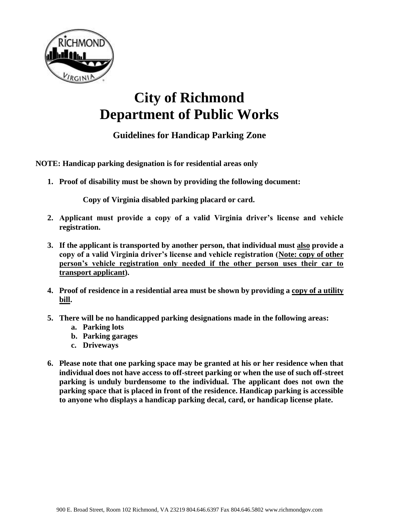

## **City of Richmond Department of Public Works**

**Guidelines for Handicap Parking Zone**

**NOTE: Handicap parking designation is for residential areas only**

**1. Proof of disability must be shown by providing the following document:**

**Copy of Virginia disabled parking placard or card.**

- **2. Applicant must provide a copy of a valid Virginia driver's license and vehicle registration.**
- **3. If the applicant is transported by another person, that individual must also provide a copy of a valid Virginia driver's license and vehicle registration (Note: copy of other person's vehicle registration only needed if the other person uses their car to transport applicant).**
- **4. Proof of residence in a residential area must be shown by providing a copy of a utility bill.**
- **5. There will be no handicapped parking designations made in the following areas:**
	- **a. Parking lots**
	- **b. Parking garages**
	- **c. Driveways**
- **6. Please note that one parking space may be granted at his or her residence when that individual does not have access to off-street parking or when the use of such off-street parking is unduly burdensome to the individual. The applicant does not own the parking space that is placed in front of the residence. Handicap parking is accessible to anyone who displays a handicap parking decal, card, or handicap license plate.**